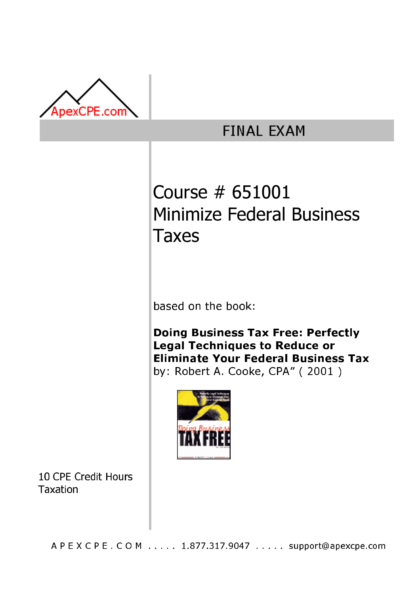

# **FINAL EXAM**

# Course # 651001 Minimize Federal Business Taxes

based on the book:

**Doing Business Tax Free: Perfectly Legal Techniques to Reduce or Eliminate Your Federal Business Tax** by: Robert A. Cooke, CPA" (2001)



10 CPE Credit Hours Taxation

A P E X C P E . C O M . . . . . 1.877.317.9047 . . . . . support@apexcpe.com .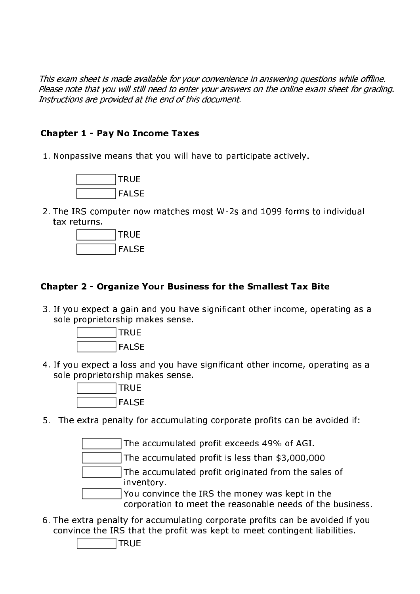This exam sheet is made available for your convenience in answering questions while offline. Please note that you will still need to enter your answers on the online exam sheet for grading. Instructions are provided at the end of this document.

# **Chapter 1 - Pay No Income Taxes**

1. Nonpassive means that you will have to participate actively.



2. The IRS computer now matches most W-2s and 1099 forms to individual tax returns.



# Chapter 2 - Organize Your Business for the Smallest Tax Bite

3. If you expect a gain and you have significant other income, operating as a sole proprietorship makes sense.



4. If you expect a loss and you have significant other income, operating as a sole proprietorship makes sense.



5. The extra penalty for accumulating corporate profits can be avoided if:

The accumulated profit exceeds 49% of AGI.

The accumulated profit is less than \$3,000,000

The accumulated profit originated from the sales of inventory.

You convince the IRS the money was kept in the corporation to meet the reasonable needs of the business.

6. The extra penalty for accumulating corporate profits can be avoided if you convince the IRS that the profit was kept to meet contingent liabilities.

**TRUE**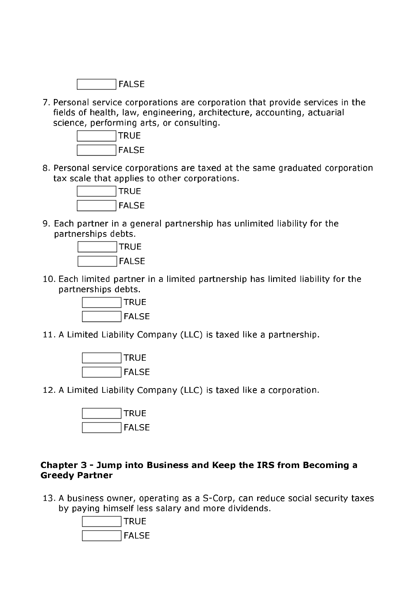

7. Personal service corporations are corporation that provide services in the fields of health, law, engineering, architecture, accounting, actuarial science, performing arts, or consulting.



8. Personal service corporations are taxed at the same graduated corporation tax scale that applies to other corporations.



9. Each partner in a general partnership has unlimited liability for the partnerships debts.



10. Each limited partner in a limited partnership has limited liability for the partnerships debts.



11. A Limited Liability Company (LLC) is taxed like a partnership.



12. A Limited Liability Company (LLC) is taxed like a corporation.



#### Chapter 3 - Jump into Business and Keep the IRS from Becoming a **Greedy Partner**

13. A business owner, operating as a S-Corp, can reduce social security taxes by paying himself less salary and more dividends.

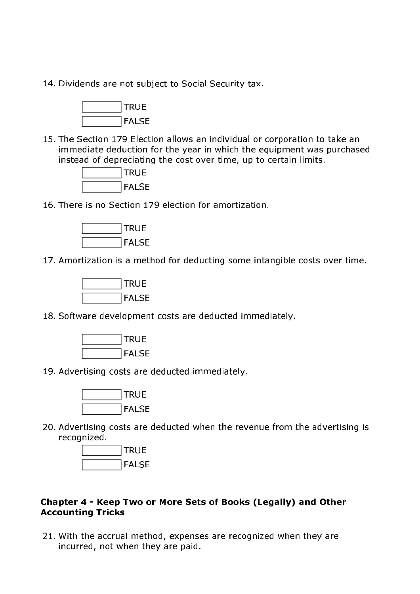14. Dividends are not subject to Social Security tax.



15. The Section 179 Election allows an individual or corporation to take an immediate deduction for the year in which the equipment was purchased instead of depreciating the cost over time, up to certain limits.



16. There is no Section 179 election for amortization.



17. Amortization is a method for deducting some intangible costs over time.



18. Software development costs are deducted immediately.



19. Advertising costs are deducted immediately.



20. Advertising costs are deducted when the revenue from the advertising is recognized.



#### Chapter 4 - Keep Two or More Sets of Books (Legally) and Other **Accounting Tricks**

21. With the accrual method, expenses are recognized when they are incurred, not when they are paid.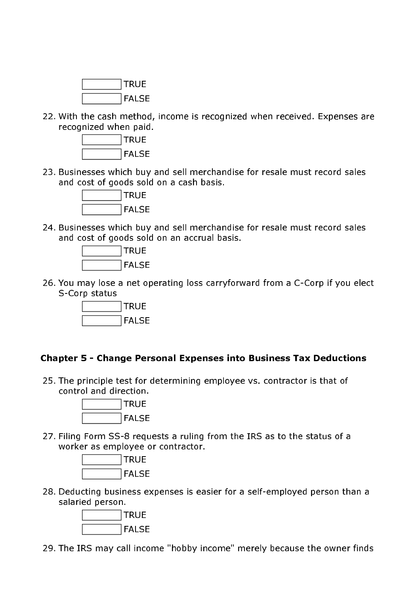

22. With the cash method, income is recognized when received. Expenses are recognized when paid.



23. Businesses which buy and sell merchandise for resale must record sales and cost of goods sold on a cash basis.



24. Businesses which buy and sell merchandise for resale must record sales and cost of goods sold on an accrual basis.



26. You may lose a net operating loss carryforward from a C-Corp if you elect S-Corp status



#### **Chapter 5 - Change Personal Expenses into Business Tax Deductions**

25. The principle test for determining employee vs. contractor is that of control and direction.



27. Filing Form SS-8 requests a ruling from the IRS as to the status of a worker as employee or contractor.



28. Deducting business expenses is easier for a self-employed person than a salaried person.



29. The IRS may call income "hobby income" merely because the owner finds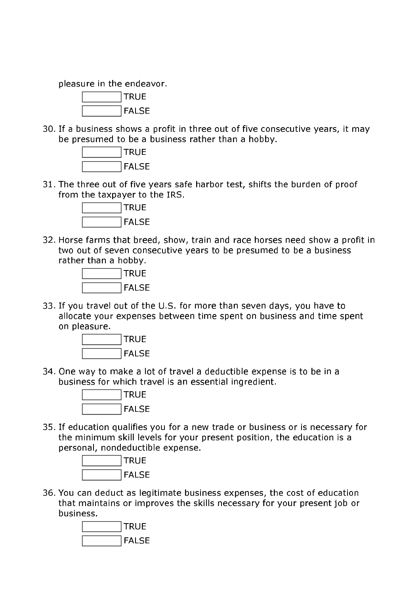pleasure in the endeavor.



30. If a business shows a profit in three out of five consecutive years, it may be presumed to be a business rather than a hobby.



31. The three out of five years safe harbor test, shifts the burden of proof from the taxpayer to the IRS.



32. Horse farms that breed, show, train and race horses need show a profit in two out of seven consecutive years to be presumed to be a business rather than a hobby.



33. If you travel out of the U.S. for more than seven days, you have to allocate your expenses between time spent on business and time spent on pleasure.



34. One way to make a lot of travel a deductible expense is to be in a business for which travel is an essential ingredient.



35. If education qualifies you for a new trade or business or is necessary for the minimum skill levels for your present position, the education is a personal, nondeductible expense.



36. You can deduct as legitimate business expenses, the cost of education that maintains or improves the skills necessary for your present job or business.

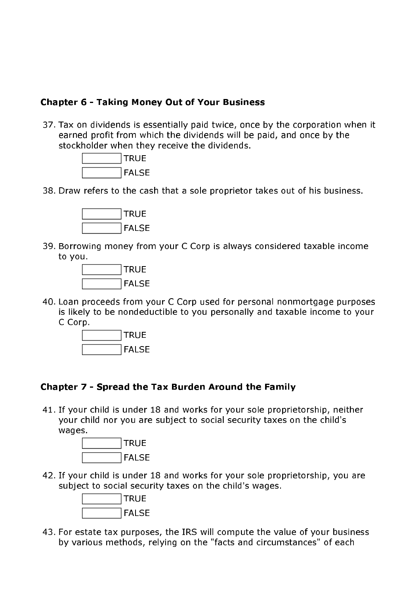## **Chapter 6 - Taking Money Out of Your Business**

37. Tax on dividends is essentially paid twice, once by the corporation when it earned profit from which the dividends will be paid, and once by the stockholder when they receive the dividends.



38. Draw refers to the cash that a sole proprietor takes out of his business.



39. Borrowing money from your C Corp is always considered taxable income to you.



40. Loan proceeds from your C Corp used for personal nonmortgage purposes is likely to be nondeductible to you personally and taxable income to your C Corp.



#### Chapter 7 - Spread the Tax Burden Around the Family

41. If your child is under 18 and works for your sole proprietorship, neither your child nor you are subject to social security taxes on the child's wages.



42. If your child is under 18 and works for your sole proprietorship, you are subject to social security taxes on the child's wages.



43. For estate tax purposes, the IRS will compute the value of your business by various methods, relying on the "facts and circumstances" of each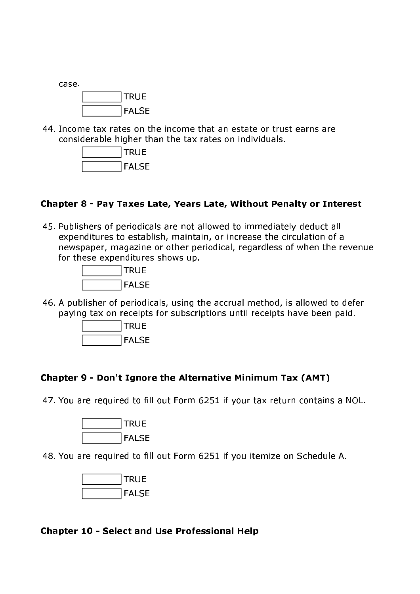

44. Income tax rates on the income that an estate or trust earns are considerable higher than the tax rates on individuals.



### Chapter 8 - Pay Taxes Late, Years Late, Without Penalty or Interest

45. Publishers of periodicals are not allowed to immediately deduct all expenditures to establish, maintain, or increase the circulation of a newspaper, magazine or other periodical, regardless of when the revenue for these expenditures shows up.



46. A publisher of periodicals, using the accrual method, is allowed to defer paving tax on receipts for subscriptions until receipts have been paid.



#### Chapter 9 - Don't Ignore the Alternative Minimum Tax (AMT)

47. You are required to fill out Form 6251 if your tax return contains a NOL.



48. You are required to fill out Form 6251 if you itemize on Schedule A.



#### **Chapter 10 - Select and Use Professional Help**